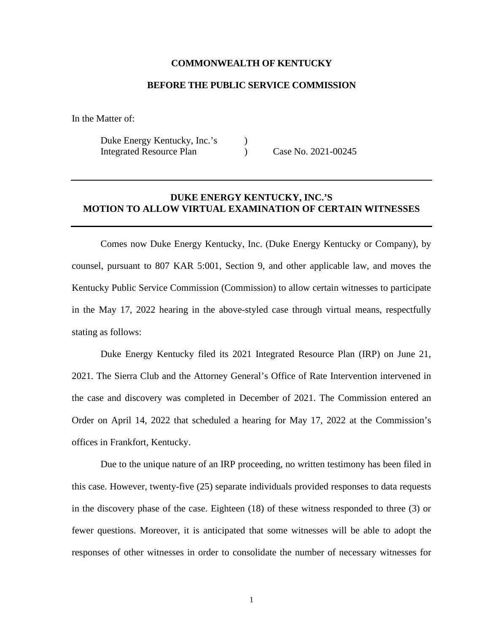## **COMMONWEALTH OF KENTUCKY**

## **BEFORE THE PUBLIC SERVICE COMMISSION**

In the Matter of:

Duke Energy Kentucky, Inc.'s ) Integrated Resource Plan (a) Case No. 2021-00245

## **DUKE ENERGY KENTUCKY, INC.'S MOTION TO ALLOW VIRTUAL EXAMINATION OF CERTAIN WITNESSES**

Comes now Duke Energy Kentucky, Inc. (Duke Energy Kentucky or Company), by counsel, pursuant to 807 KAR 5:001, Section 9, and other applicable law, and moves the Kentucky Public Service Commission (Commission) to allow certain witnesses to participate in the May 17, 2022 hearing in the above-styled case through virtual means, respectfully stating as follows:

Duke Energy Kentucky filed its 2021 Integrated Resource Plan (IRP) on June 21, 2021. The Sierra Club and the Attorney General's Office of Rate Intervention intervened in the case and discovery was completed in December of 2021. The Commission entered an Order on April 14, 2022 that scheduled a hearing for May 17, 2022 at the Commission's offices in Frankfort, Kentucky.

Due to the unique nature of an IRP proceeding, no written testimony has been filed in this case. However, twenty-five (25) separate individuals provided responses to data requests in the discovery phase of the case. Eighteen (18) of these witness responded to three (3) or fewer questions. Moreover, it is anticipated that some witnesses will be able to adopt the responses of other witnesses in order to consolidate the number of necessary witnesses for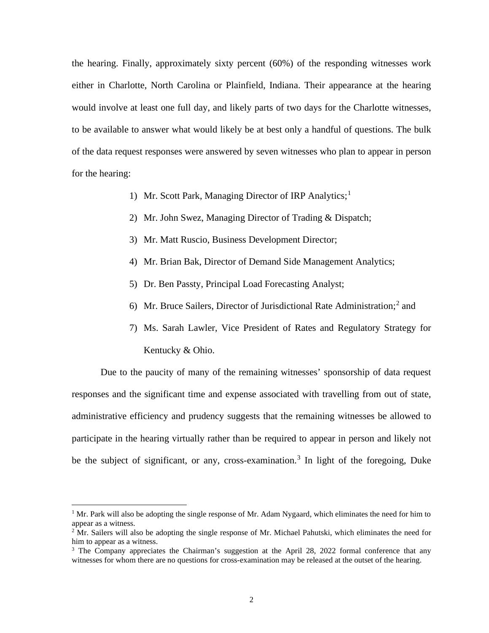the hearing. Finally, approximately sixty percent (60%) of the responding witnesses work either in Charlotte, North Carolina or Plainfield, Indiana. Their appearance at the hearing would involve at least one full day, and likely parts of two days for the Charlotte witnesses, to be available to answer what would likely be at best only a handful of questions. The bulk of the data request responses were answered by seven witnesses who plan to appear in person for the hearing:

- [1](#page-1-0)) Mr. Scott Park, Managing Director of IRP Analytics;<sup>1</sup>
- 2) Mr. John Swez, Managing Director of Trading & Dispatch;
- 3) Mr. Matt Ruscio, Business Development Director;
- 4) Mr. Brian Bak, Director of Demand Side Management Analytics;
- 5) Dr. Ben Passty, Principal Load Forecasting Analyst;
- 6) Mr. Bruce Sailers, Director of Jurisdictional Rate Administration;<sup>[2](#page-1-1)</sup> and
- 7) Ms. Sarah Lawler, Vice President of Rates and Regulatory Strategy for Kentucky & Ohio.

Due to the paucity of many of the remaining witnesses' sponsorship of data request responses and the significant time and expense associated with travelling from out of state, administrative efficiency and prudency suggests that the remaining witnesses be allowed to participate in the hearing virtually rather than be required to appear in person and likely not be the subject of significant, or any, cross-examination.<sup>[3](#page-1-2)</sup> In light of the foregoing, Duke

<span id="page-1-0"></span><sup>&</sup>lt;sup>1</sup> Mr. Park will also be adopting the single response of Mr. Adam Nygaard, which eliminates the need for him to appear as a witness.<br><sup>2</sup> Mr. Sailers will also be adopting the single response of Mr. Michael Pahutski, which eliminates the need for

<span id="page-1-1"></span>him to appear as a witness.<br><sup>3</sup> The Company appreciates the Chairman's suggestion at the April 28, 2022 formal conference that any

<span id="page-1-2"></span>witnesses for whom there are no questions for cross-examination may be released at the outset of the hearing.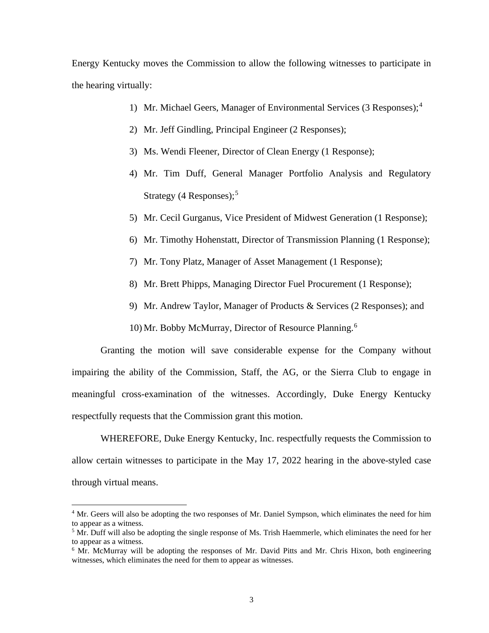Energy Kentucky moves the Commission to allow the following witnesses to participate in the hearing virtually:

- 1) Mr. Michael Geers, Manager of Environmental Services (3 Responses);[4](#page-2-0)
- 2) Mr. Jeff Gindling, Principal Engineer (2 Responses);
- 3) Ms. Wendi Fleener, Director of Clean Energy (1 Response);
- 4) Mr. Tim Duff, General Manager Portfolio Analysis and Regulatory Strategy (4 Responses); $<sup>5</sup>$  $<sup>5</sup>$  $<sup>5</sup>$ </sup>
- 5) Mr. Cecil Gurganus, Vice President of Midwest Generation (1 Response);
- 6) Mr. Timothy Hohenstatt, Director of Transmission Planning (1 Response);
- 7) Mr. Tony Platz, Manager of Asset Management (1 Response);
- 8) Mr. Brett Phipps, Managing Director Fuel Procurement (1 Response);
- 9) Mr. Andrew Taylor, Manager of Products & Services (2 Responses); and
- 10) Mr. Bobby McMurray, Director of Resource Planning.<sup>[6](#page-2-2)</sup>

Granting the motion will save considerable expense for the Company without impairing the ability of the Commission, Staff, the AG, or the Sierra Club to engage in meaningful cross-examination of the witnesses. Accordingly, Duke Energy Kentucky respectfully requests that the Commission grant this motion.

WHEREFORE, Duke Energy Kentucky, Inc. respectfully requests the Commission to allow certain witnesses to participate in the May 17, 2022 hearing in the above-styled case through virtual means.

<span id="page-2-0"></span><sup>&</sup>lt;sup>4</sup> Mr. Geers will also be adopting the two responses of Mr. Daniel Sympson, which eliminates the need for him to appear as a witness.

<span id="page-2-1"></span><sup>&</sup>lt;sup>5</sup> Mr. Duff will also be adopting the single response of Ms. Trish Haemmerle, which eliminates the need for her to appear as a witness.

<span id="page-2-2"></span> $6$  Mr. McMurray will be adopting the responses of Mr. David Pitts and Mr. Chris Hixon, both engineering witnesses, which eliminates the need for them to appear as witnesses.